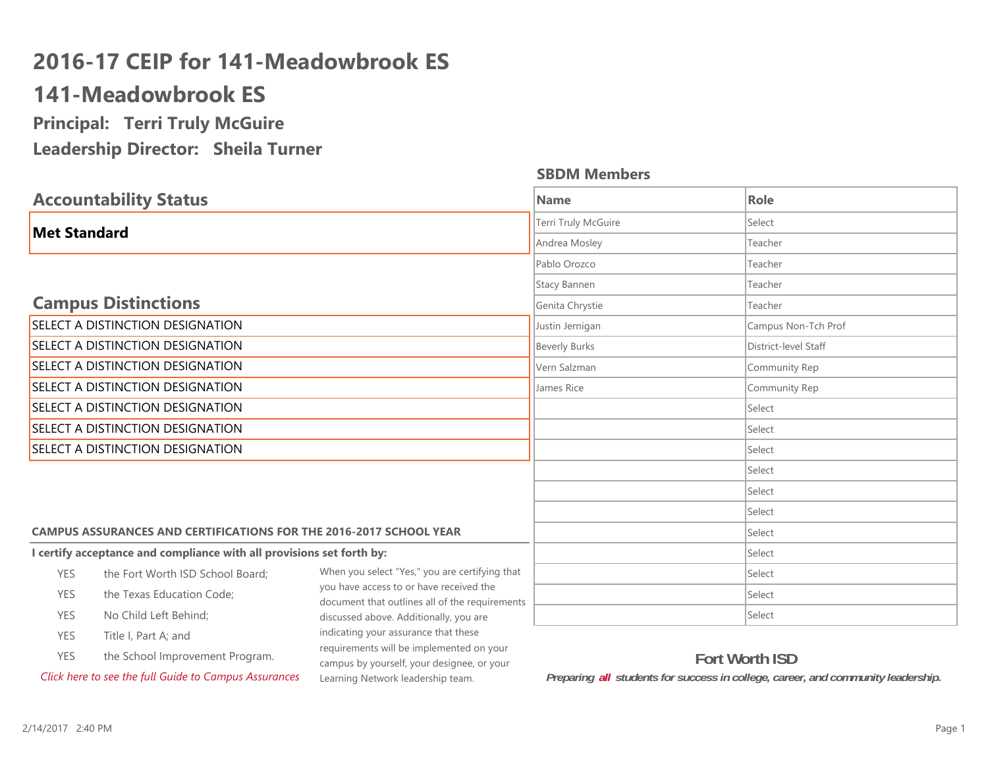# **2016-17 CEIP for 141-Meadowbrook ES**

*Click here to see the full Guide to Campus Assurances* Learning Network leadership team.

# **141-Meadowbrook ES**

**Principal: Terri Truly McGuire Leadership Director: Sheila Turner**

### **SBDM Members**

|                                                                                                                                                             | <b>Accountability Status</b>                                              |                                                                                           | <b>Name</b>           | <b>Role</b>          |  |  |
|-------------------------------------------------------------------------------------------------------------------------------------------------------------|---------------------------------------------------------------------------|-------------------------------------------------------------------------------------------|-----------------------|----------------------|--|--|
|                                                                                                                                                             |                                                                           |                                                                                           | Terri Truly McGuire   | Select               |  |  |
| <b>Met Standard</b>                                                                                                                                         |                                                                           |                                                                                           | Andrea Mosley         | Teacher              |  |  |
|                                                                                                                                                             |                                                                           |                                                                                           | Pablo Orozco          | Teacher              |  |  |
|                                                                                                                                                             |                                                                           |                                                                                           | <b>Stacy Bannen</b>   | Teacher              |  |  |
|                                                                                                                                                             | <b>Campus Distinctions</b>                                                |                                                                                           | Genita Chrystie       | Teacher              |  |  |
|                                                                                                                                                             | SELECT A DISTINCTION DESIGNATION                                          |                                                                                           | Justin Jernigan       | Campus Non-Tch Prof  |  |  |
|                                                                                                                                                             | SELECT A DISTINCTION DESIGNATION                                          |                                                                                           | <b>Beverly Burks</b>  | District-level Staff |  |  |
|                                                                                                                                                             | SELECT A DISTINCTION DESIGNATION                                          |                                                                                           | Vern Salzman          | Community Rep        |  |  |
|                                                                                                                                                             | SELECT A DISTINCTION DESIGNATION                                          |                                                                                           | James Rice            | Community Rep        |  |  |
|                                                                                                                                                             | SELECT A DISTINCTION DESIGNATION                                          |                                                                                           |                       | Select               |  |  |
|                                                                                                                                                             | SELECT A DISTINCTION DESIGNATION                                          |                                                                                           |                       | Select               |  |  |
|                                                                                                                                                             | SELECT A DISTINCTION DESIGNATION                                          |                                                                                           |                       | Select               |  |  |
|                                                                                                                                                             |                                                                           |                                                                                           |                       | Select               |  |  |
|                                                                                                                                                             |                                                                           |                                                                                           |                       | Select               |  |  |
|                                                                                                                                                             |                                                                           |                                                                                           |                       | Select               |  |  |
|                                                                                                                                                             | <b>CAMPUS ASSURANCES AND CERTIFICATIONS FOR THE 2016-2017 SCHOOL YEAR</b> |                                                                                           |                       | Select               |  |  |
|                                                                                                                                                             | I certify acceptance and compliance with all provisions set forth by:     |                                                                                           |                       | Select               |  |  |
| <b>YES</b>                                                                                                                                                  | the Fort Worth ISD School Board;                                          | When you select "Yes," you are certifying that                                            |                       | Select               |  |  |
| YES                                                                                                                                                         | the Texas Education Code;                                                 | you have access to or have received the<br>document that outlines all of the requirements |                       | Select               |  |  |
| YES                                                                                                                                                         | No Child Left Behind;                                                     | discussed above. Additionally, you are                                                    |                       | Select               |  |  |
| <b>YES</b>                                                                                                                                                  | Title I, Part A; and                                                      | indicating your assurance that these                                                      |                       |                      |  |  |
| requirements will be implemented on your<br><b>YES</b><br>the School Improvement Program.<br>ورزمته المتواصل والمتحال المرزودين فالمتعدد رويان رزوا المرزور |                                                                           |                                                                                           | <b>Fort Worth ISD</b> |                      |  |  |

campus by yourself, your designee, or your

# **Fort Worth ISD**

*Preparing all students for success in college, career, and community leadership.*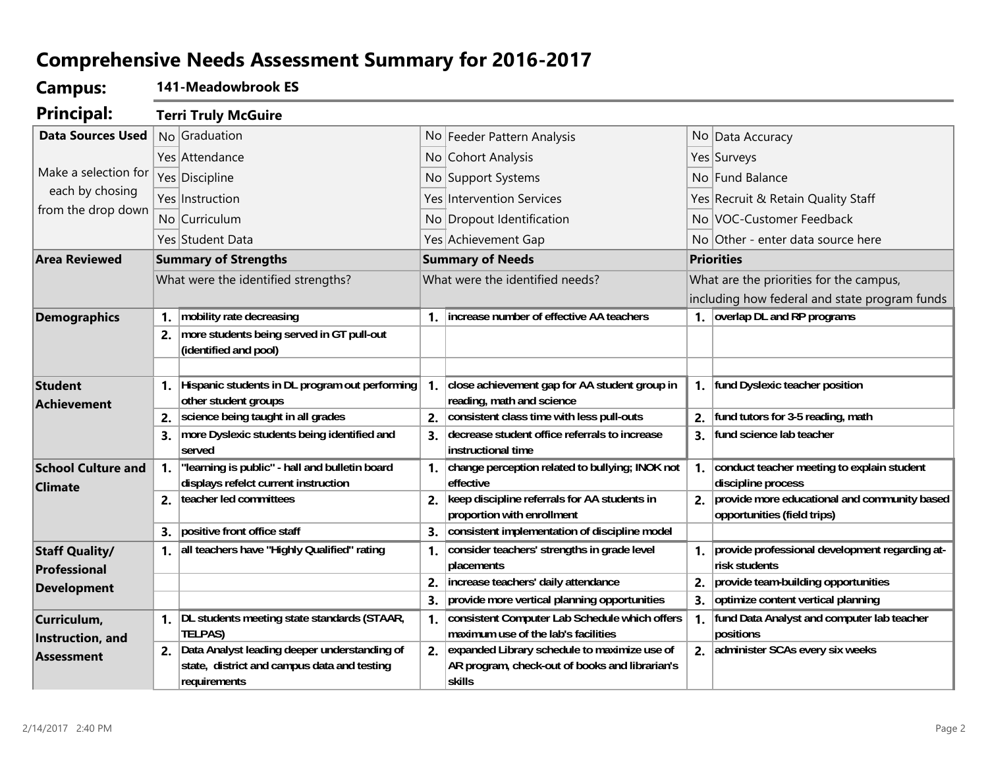# **Comprehensive Needs Assessment Summary for 2016-2017**

**Campus:**

**141-Meadowbrook ES**

| <b>Principal:</b>         |    | <b>Terri Truly McGuire</b>                                         |    |                                                                            |     |                                                                             |  |  |  |
|---------------------------|----|--------------------------------------------------------------------|----|----------------------------------------------------------------------------|-----|-----------------------------------------------------------------------------|--|--|--|
| <b>Data Sources Used</b>  |    | No Graduation                                                      |    | No Feeder Pattern Analysis                                                 |     | No Data Accuracy                                                            |  |  |  |
|                           |    | Yes Attendance                                                     |    | No Cohort Analysis                                                         |     | Yes Surveys                                                                 |  |  |  |
| Make a selection for      |    | Yes Discipline                                                     |    | No Support Systems                                                         |     | No Fund Balance                                                             |  |  |  |
| each by chosing           |    | Yes Instruction                                                    |    | Yes Intervention Services                                                  |     | Yes Recruit & Retain Quality Staff                                          |  |  |  |
| from the drop down        |    | No Curriculum                                                      |    | No Dropout Identification                                                  |     | No VOC-Customer Feedback                                                    |  |  |  |
|                           |    | Yes Student Data                                                   |    | Yes Achievement Gap                                                        |     | No Other - enter data source here                                           |  |  |  |
| <b>Area Reviewed</b>      |    | <b>Summary of Strengths</b>                                        |    | <b>Summary of Needs</b>                                                    |     | <b>Priorities</b>                                                           |  |  |  |
|                           |    | What were the identified strengths?                                |    | What were the identified needs?                                            |     | What are the priorities for the campus,                                     |  |  |  |
|                           |    |                                                                    |    |                                                                            |     | including how federal and state program funds                               |  |  |  |
| <b>Demographics</b>       |    | 1. mobility rate decreasing                                        |    | 1. increase number of effective AA teachers                                |     | 1. overlap DL and RP programs                                               |  |  |  |
|                           | 2. | more students being served in GT pull-out<br>(identified and pool) |    |                                                                            |     |                                                                             |  |  |  |
|                           |    |                                                                    |    |                                                                            |     |                                                                             |  |  |  |
| Student                   | 1. | Hispanic students in DL program out performing                     | 1. | close achievement gap for AA student group in                              |     | 1. fund Dyslexic teacher position                                           |  |  |  |
| Achievement               |    | other student groups                                               |    | reading, math and science                                                  |     |                                                                             |  |  |  |
|                           |    | 2. Science being taught in all grades                              | 2. | consistent class time with less pull-outs                                  | 2.1 | fund tutors for 3-5 reading, math                                           |  |  |  |
|                           | 3. | more Dyslexic students being identified and<br>served              | 3. | decrease student office referrals to increase<br>instructional time        | 3.  | fund science lab teacher                                                    |  |  |  |
| <b>School Culture and</b> | 1. | "learning is public" - hall and bulletin board                     |    | change perception related to bullying; INOK not                            | 1.1 | conduct teacher meeting to explain student                                  |  |  |  |
| <b>Climate</b>            |    | displays refelct current instruction                               |    | effective                                                                  |     | discipline process                                                          |  |  |  |
|                           | 2. | teacher led committees                                             | 2. | keep discipline referrals for AA students in<br>proportion with enrollment | 2.1 | provide more educational and community based<br>opportunities (field trips) |  |  |  |
|                           | 3. | positive front office staff                                        | 3. | consistent implementation of discipline model                              |     |                                                                             |  |  |  |
| <b>Staff Quality/</b>     |    | 1. all teachers have "Highly Qualified" rating                     | 1. | consider teachers' strengths in grade level<br>placements                  |     | 1. provide professional development regarding at-<br>risk students          |  |  |  |
| Professional              |    |                                                                    | 2. | increase teachers' daily attendance                                        |     | 2. provide team-building opportunities                                      |  |  |  |
| <b>Development</b>        |    |                                                                    |    | 3. provide more vertical planning opportunities                            |     | 3. optimize content vertical planning                                       |  |  |  |
| Curriculum,               |    | 1. DL students meeting state standards (STAAR,                     | 1. | consistent Computer Lab Schedule which offers                              | 1.  | fund Data Analyst and computer lab teacher                                  |  |  |  |
| Instruction, and          |    | <b>TELPAS)</b>                                                     |    | maximum use of the lab's facilities                                        |     | positions                                                                   |  |  |  |
| Assessment                | 2. | Data Analyst leading deeper understanding of                       |    | 2. expanded Library schedule to maximize use of                            |     | 2. administer SCAs every six weeks                                          |  |  |  |
|                           |    | state, district and campus data and testing<br>requirements        |    | AR program, check-out of books and librarian's<br>skills                   |     |                                                                             |  |  |  |
|                           |    |                                                                    |    |                                                                            |     |                                                                             |  |  |  |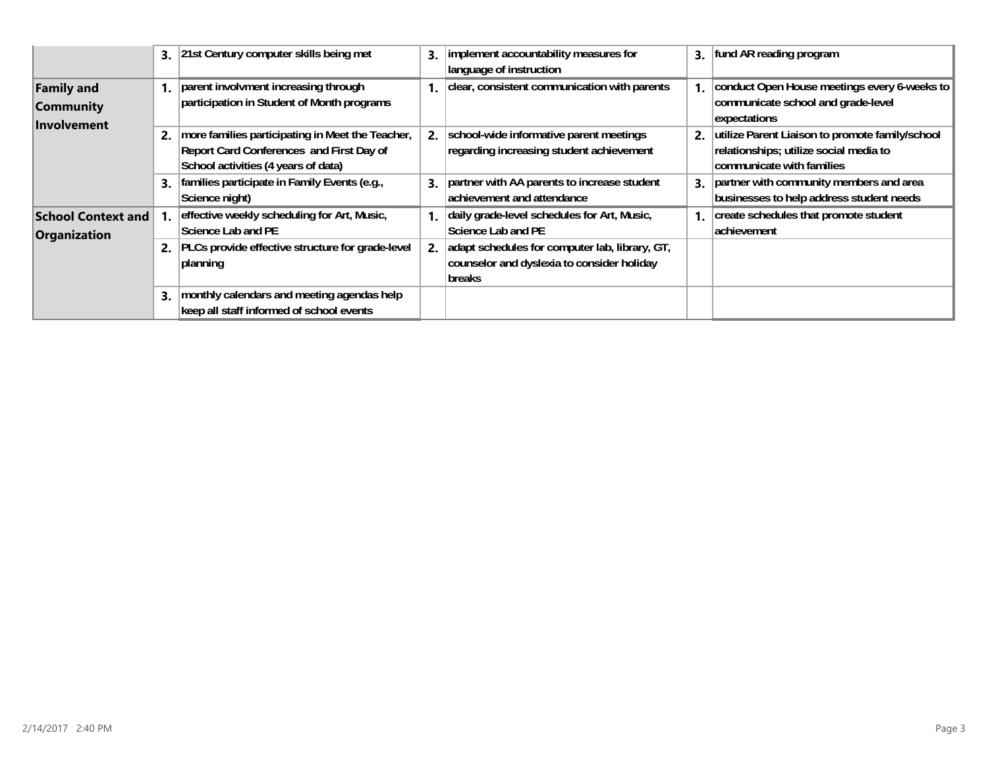|                                               |    | 3. 21st Century computer skills being met                                                                                                | 3. | implement accountability measures for<br>language of instruction                                       | 3. fund AR reading program                                                                                                |
|-----------------------------------------------|----|------------------------------------------------------------------------------------------------------------------------------------------|----|--------------------------------------------------------------------------------------------------------|---------------------------------------------------------------------------------------------------------------------------|
| <b>Family and</b><br>Community<br>Involvement |    | 1. parent involvment increasing through<br>participation in Student of Month programs                                                    |    | clear, consistent communication with parents                                                           | 1. conduct Open House meetings every 6-weeks to<br>communicate school and grade-level<br>expectations                     |
|                                               |    | 2.   more families participating in Meet the Teacher,<br>Report Card Conferences and First Day of<br>School activities (4 years of data) | 2. | school-wide informative parent meetings<br>regarding increasing student achievement                    | 2. utilize Parent Liaison to promote family/school<br>relationships; utilize social media to<br>communicate with families |
|                                               |    | families participate in Family Events (e.g.,<br>Science night)                                                                           | 3. | partner with AA parents to increase student<br>achievement and attendance                              | 3. partner with community members and area<br>businesses to help address student needs                                    |
| <b>School Context and</b><br>Organization     |    | effective weekly scheduling for Art, Music,<br>Science Lab and PE                                                                        |    | daily grade-level schedules for Art, Music,<br>Science Lab and PE                                      | 1. create schedules that promote student<br>achievement                                                                   |
|                                               |    | 2. PLCs provide effective structure for grade-level<br>planning                                                                          | 2. | adapt schedules for computer lab, library, GT,<br>counselor and dyslexia to consider holiday<br>breaks |                                                                                                                           |
|                                               | 3. | monthly calendars and meeting agendas help<br>keep all staff informed of school events                                                   |    |                                                                                                        |                                                                                                                           |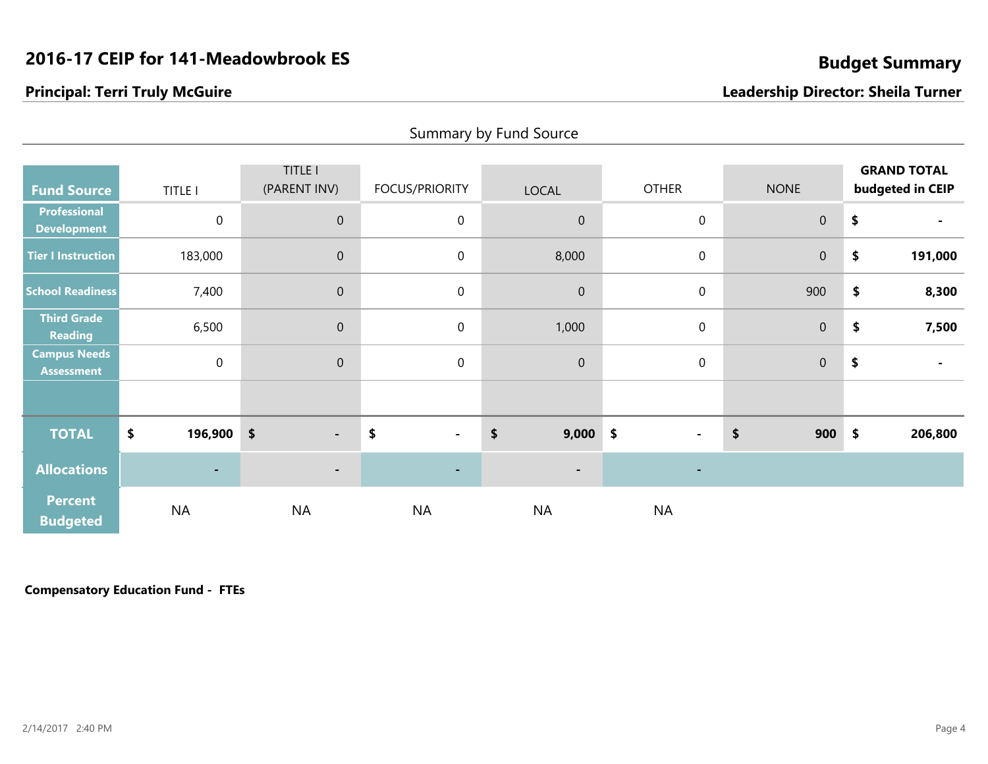# **2016-17 CEIP for 141-Meadowbrook ES**

### **Principal: Terri Truly McGuire**

**Budget Summary**

**Leadership Director: Sheila Turner**

|                                           | Summary by Fund Source |                                 |                      |                          |                  |                            |                        |                                        |
|-------------------------------------------|------------------------|---------------------------------|----------------------|--------------------------|------------------|----------------------------|------------------------|----------------------------------------|
| <b>Fund Source</b>                        | <b>TITLE I</b>         | <b>TITLE I</b><br>(PARENT INV)  | FOCUS/PRIORITY       | LOCAL                    | <b>OTHER</b>     | <b>NONE</b>                |                        | <b>GRAND TOTAL</b><br>budgeted in CEIP |
| <b>Professional</b><br><b>Development</b> | $\pmb{0}$              | $\pmb{0}$                       | $\boldsymbol{0}$     | $\mathbf 0$              | $\pmb{0}$        | $\boldsymbol{0}$           | \$                     |                                        |
| <b>Tier I Instruction</b>                 | 183,000                | $\boldsymbol{0}$                | $\mathbf 0$          | 8,000                    | $\pmb{0}$        | $\boldsymbol{0}$           | \$                     | 191,000                                |
| <b>School Readiness</b>                   | 7,400                  | $\mathbf{0}$                    | $\overline{0}$       | $\mathbf 0$              | $\boldsymbol{0}$ | 900                        | \$                     | 8,300                                  |
| <b>Third Grade</b><br><b>Reading</b>      | 6,500                  | $\mathbf 0$                     | $\mathbf 0$          | 1,000                    | $\pmb{0}$        | $\boldsymbol{0}$           | \$                     | 7,500                                  |
| <b>Campus Needs</b><br><b>Assessment</b>  | $\pmb{0}$              | $\mathbf 0$                     | $\mathbf 0$          | $\boldsymbol{0}$         | $\pmb{0}$        | $\boldsymbol{0}$           | \$                     |                                        |
|                                           |                        |                                 |                      |                          |                  |                            |                        |                                        |
| <b>TOTAL</b>                              | \$<br>196,900          | $\frac{1}{2}$<br>$\blacksquare$ | \$<br>$\blacksquare$ | \$<br>$9,000$ \$         | $\blacksquare$   | $\pmb{\mathsf{\$}}$<br>900 | $\boldsymbol{\hat{z}}$ | 206,800                                |
| <b>Allocations</b>                        | ٠                      | $\overline{\phantom{a}}$        | $\sim$               | $\overline{\phantom{a}}$ | ٠                |                            |                        |                                        |
| <b>Percent</b><br><b>Budgeted</b>         | <b>NA</b>              | <b>NA</b>                       | <b>NA</b>            | <b>NA</b>                | <b>NA</b>        |                            |                        |                                        |

**Compensatory Education Fund - FTEs**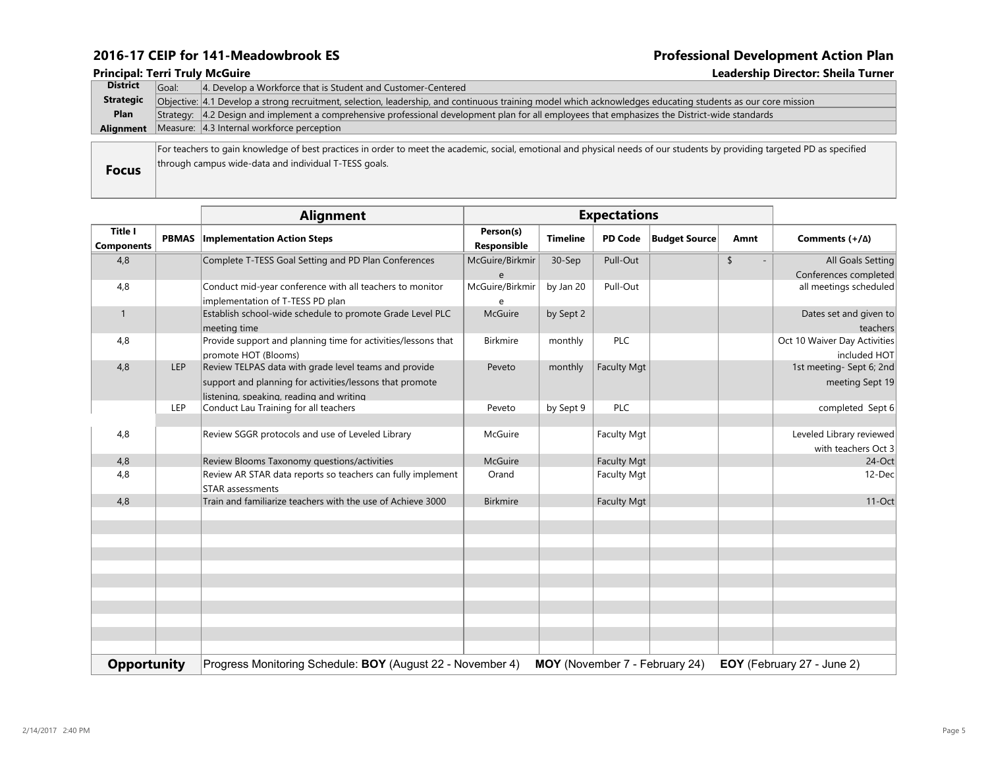#### **2016-17 CEIP for 141-Meadowbrook ES Professional Development Action Plan**

**Principal: Terri Truly McGuire Leadership Director: Sheila Turner**

| <b>District</b>  | <sup>'</sup> Goal: | 4. Develop a Workforce that is Student and Customer-Centered                                                                                                |
|------------------|--------------------|-------------------------------------------------------------------------------------------------------------------------------------------------------------|
| <b>Strategic</b> |                    | Objective: 4.1 Develop a strong recruitment, selection, leadership, and continuous training model which acknowledges educating students as our core mission |
| <b>Plan</b>      |                    | Strategy: 4.2 Design and implement a comprehensive professional development plan for all employees that emphasizes the District-wide standards              |
|                  |                    | <b>Alignment</b> Measure: 4.3 Internal workforce perception                                                                                                 |
|                  |                    |                                                                                                                                                             |

**Focus** For teachers to gain knowledge of best practices in order to meet the academic, social, emotional and physical needs of our students by providing targeted PD as specified through campus wide-data and individual T-TESS goals.

|                              |     | <b>Alignment</b>                                                                                                                                              |                          | <b>Expectations</b> |                    |                                |      |                                                 |  |  |
|------------------------------|-----|---------------------------------------------------------------------------------------------------------------------------------------------------------------|--------------------------|---------------------|--------------------|--------------------------------|------|-------------------------------------------------|--|--|
| Title I<br><b>Components</b> |     | <b>PBMAS</b> Implementation Action Steps                                                                                                                      | Person(s)<br>Responsible | <b>Timeline</b>     | <b>PD Code</b>     | <b>Budget Source</b>           | Amnt | Comments $(+/\Delta)$                           |  |  |
| 4,8                          |     | Complete T-TESS Goal Setting and PD Plan Conferences                                                                                                          | McGuire/Birkmir<br>e     | 30-Sep              | Pull-Out           |                                | \$   | All Goals Setting<br>Conferences completed      |  |  |
| 4,8                          |     | Conduct mid-year conference with all teachers to monitor<br>implementation of T-TESS PD plan                                                                  | McGuire/Birkmir<br>e     | by Jan 20           | Pull-Out           |                                |      | all meetings scheduled                          |  |  |
| $\mathbf{1}$                 |     | Establish school-wide schedule to promote Grade Level PLC<br>meeting time                                                                                     | McGuire                  | by Sept 2           |                    |                                |      | Dates set and given to<br>teachers              |  |  |
| 4,8                          |     | Provide support and planning time for activities/lessons that<br>promote HOT (Blooms)                                                                         | Birkmire                 | monthly             | PLC                |                                |      | Oct 10 Waiver Day Activities<br>included HOT    |  |  |
| 4,8                          | LEP | Review TELPAS data with grade level teams and provide<br>support and planning for activities/lessons that promote<br>listening, speaking, reading and writing | Peveto                   | monthly             | <b>Faculty Mgt</b> |                                |      | 1st meeting- Sept 6; 2nd<br>meeting Sept 19     |  |  |
|                              | LEP | Conduct Lau Training for all teachers                                                                                                                         | Peveto                   | by Sept 9           | <b>PLC</b>         |                                |      | completed Sept 6                                |  |  |
| 4,8                          |     | Review SGGR protocols and use of Leveled Library                                                                                                              | McGuire                  |                     | <b>Faculty Mgt</b> |                                |      | Leveled Library reviewed<br>with teachers Oct 3 |  |  |
| 4,8                          |     | Review Blooms Taxonomy questions/activities                                                                                                                   | McGuire                  |                     | <b>Faculty Mgt</b> |                                |      | 24-Oct                                          |  |  |
| 4,8                          |     | Review AR STAR data reports so teachers can fully implement<br>STAR assessments                                                                               | Orand                    |                     | <b>Faculty Mgt</b> |                                |      | 12-Dec                                          |  |  |
| 4,8                          |     | Train and familiarize teachers with the use of Achieve 3000                                                                                                   | <b>Birkmire</b>          |                     | <b>Faculty Mgt</b> |                                |      | $11$ -Oct                                       |  |  |
| <b>Opportunity</b>           |     | Progress Monitoring Schedule: BOY (August 22 - November 4)                                                                                                    |                          |                     |                    | MOY (November 7 - February 24) |      | EOY (February 27 - June 2)                      |  |  |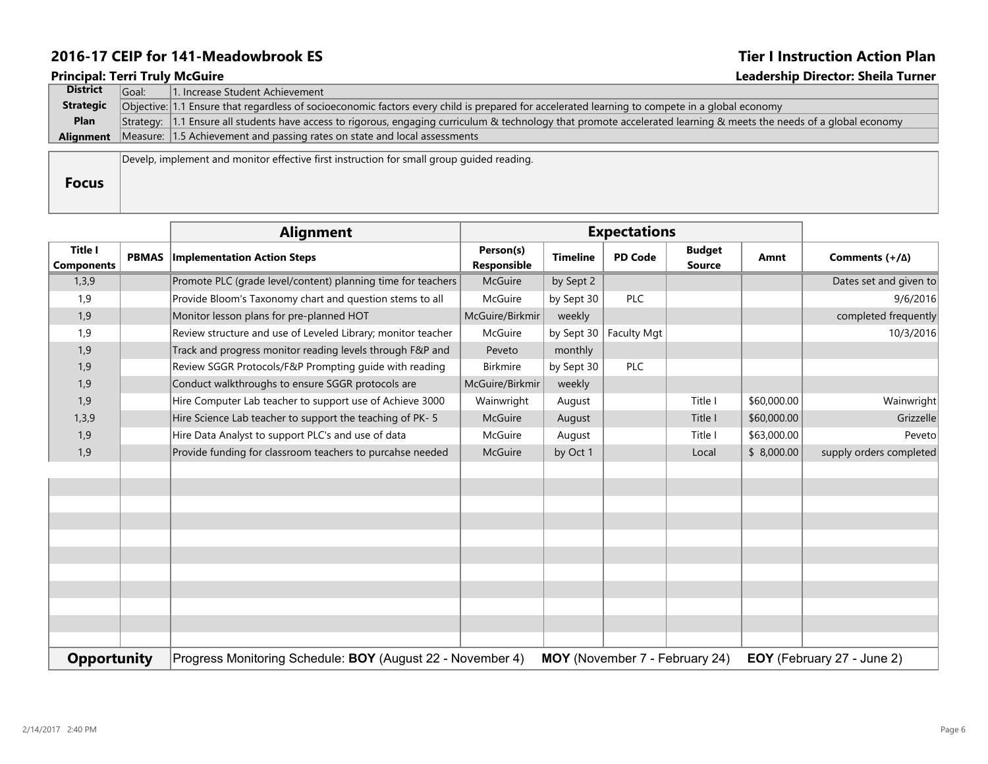### **2016-17 CEIP for 141-Meadowbrook ES**

#### **Principal: Terri Truly McGuire Leadership Director: Sheila Turner**

**Focus**

| <b>Tier I Instruction Action Plan</b> |  |
|---------------------------------------|--|
|---------------------------------------|--|

| <b>District</b>  | $\mathsf{Q}$ Goal: | 1. Increase Student Achievement                                                                                                                                     |
|------------------|--------------------|---------------------------------------------------------------------------------------------------------------------------------------------------------------------|
| <b>Strategic</b> |                    | Objective: 1.1 Ensure that regardless of socioeconomic factors every child is prepared for accelerated learning to compete in a global economy                      |
| <b>Plan</b>      |                    | Strategy: 1.1 Ensure all students have access to rigorous, engaging curriculum & technology that promote accelerated learning & meets the needs of a global economy |
|                  |                    | <b>Alignment</b> Measure: 1.5 Achievement and passing rates on state and local assessments                                                                          |
|                  |                    |                                                                                                                                                                     |

Develp, implement and monitor effective first instruction for small group guided reading.

|                                     |              | <b>Alignment</b>                                             |                          | <b>Expectations</b> |                                |                                |             |                            |
|-------------------------------------|--------------|--------------------------------------------------------------|--------------------------|---------------------|--------------------------------|--------------------------------|-------------|----------------------------|
| <b>Title I</b><br><b>Components</b> | <b>PBMAS</b> | <b>Implementation Action Steps</b>                           | Person(s)<br>Responsible | <b>Timeline</b>     | <b>PD Code</b>                 | <b>Budget</b><br><b>Source</b> | Amnt        | Comments $(+/\Delta)$      |
| 1,3,9                               |              | Promote PLC (grade level/content) planning time for teachers | McGuire                  | by Sept 2           |                                |                                |             | Dates set and given to     |
| 1,9                                 |              | Provide Bloom's Taxonomy chart and question stems to all     | McGuire                  | by Sept 30          | PLC                            |                                |             | 9/6/2016                   |
| 1,9                                 |              | Monitor lesson plans for pre-planned HOT                     | McGuire/Birkmir          | weekly              |                                |                                |             | completed frequently       |
| 1,9                                 |              | Review structure and use of Leveled Library; monitor teacher | McGuire                  | by Sept 30          | <b>Faculty Mgt</b>             |                                |             | 10/3/2016                  |
| 1,9                                 |              | Track and progress monitor reading levels through F&P and    | Peveto                   | monthly             |                                |                                |             |                            |
| 1,9                                 |              | Review SGGR Protocols/F&P Prompting guide with reading       | <b>Birkmire</b>          | by Sept 30          | PLC                            |                                |             |                            |
| 1,9                                 |              | Conduct walkthroughs to ensure SGGR protocols are            | McGuire/Birkmir          | weekly              |                                |                                |             |                            |
| 1,9                                 |              | Hire Computer Lab teacher to support use of Achieve 3000     | Wainwright               | August              |                                | Title I                        | \$60,000.00 | Wainwright                 |
| 1,3,9                               |              | Hire Science Lab teacher to support the teaching of PK-5     | McGuire                  | August              |                                | Title I                        | \$60,000.00 | Grizzelle                  |
| 1,9                                 |              | Hire Data Analyst to support PLC's and use of data           | McGuire                  | August              |                                | Title I                        | \$63,000.00 | Pevetol                    |
| 1,9                                 |              | Provide funding for classroom teachers to purcahse needed    | McGuire                  | by Oct 1            |                                | Local                          | \$8,000.00  | supply orders completed    |
|                                     |              |                                                              |                          |                     |                                |                                |             |                            |
|                                     |              |                                                              |                          |                     |                                |                                |             |                            |
|                                     |              |                                                              |                          |                     |                                |                                |             |                            |
|                                     |              |                                                              |                          |                     |                                |                                |             |                            |
|                                     |              |                                                              |                          |                     |                                |                                |             |                            |
|                                     |              |                                                              |                          |                     |                                |                                |             |                            |
|                                     |              |                                                              |                          |                     |                                |                                |             |                            |
|                                     |              |                                                              |                          |                     |                                |                                |             |                            |
|                                     |              |                                                              |                          |                     |                                |                                |             |                            |
|                                     |              |                                                              |                          |                     |                                |                                |             |                            |
|                                     |              |                                                              |                          |                     |                                |                                |             |                            |
| <b>Opportunity</b>                  |              | Progress Monitoring Schedule: BOY (August 22 - November 4)   |                          |                     | MOY (November 7 - February 24) |                                |             | EOY (February 27 - June 2) |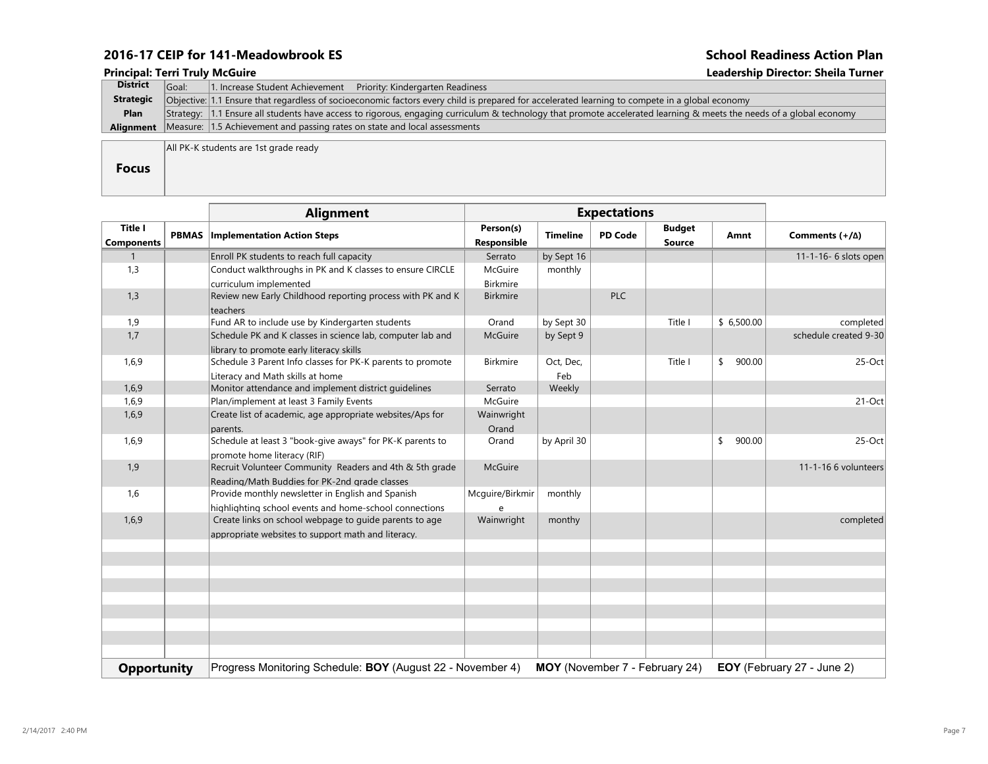#### **2016-17 CEIP for 141-Meadowbrook ES School Readiness Action Plan**

**Principal: Terri Truly McGuire Leadership Director: Sheila Turner**

| <sup>I</sup> Goal: | 1. Increase Student Achievement Priority: Kindergarten Readiness                                                                                                    |
|--------------------|---------------------------------------------------------------------------------------------------------------------------------------------------------------------|
|                    | Objective: 1.1 Ensure that regardless of socioeconomic factors every child is prepared for accelerated learning to compete in a global economy                      |
|                    | Strategy: 1.1 Ensure all students have access to rigorous, engaging curriculum & technology that promote accelerated learning & meets the needs of a global economy |
|                    | Measure: 1.5 Achievement and passing rates on state and local assessments                                                                                           |
|                    |                                                                                                                                                                     |

All PK-K students are 1st grade ready

**Focus**

|                              |              | <b>Alignment</b>                                                                                             |                          |                  |                |                                       |              |                                   |
|------------------------------|--------------|--------------------------------------------------------------------------------------------------------------|--------------------------|------------------|----------------|---------------------------------------|--------------|-----------------------------------|
| Title I<br><b>Components</b> | <b>PBMAS</b> | <b>Implementation Action Steps</b>                                                                           | Person(s)<br>Responsible | <b>Timeline</b>  | <b>PD Code</b> | <b>Budget</b><br>Source               | Amnt         | Comments $(+/\Delta)$             |
| $\mathbf{1}$                 |              | Enroll PK students to reach full capacity                                                                    | Serrato                  | by Sept 16       |                |                                       |              | 11-1-16- 6 slots open             |
| 1,3                          |              | Conduct walkthroughs in PK and K classes to ensure CIRCLE                                                    | McGuire                  | monthly          |                |                                       |              |                                   |
|                              |              | curriculum implemented                                                                                       | <b>Birkmire</b>          |                  |                |                                       |              |                                   |
| 1,3                          |              | Review new Early Childhood reporting process with PK and K<br>teachers                                       | <b>Birkmire</b>          |                  | <b>PLC</b>     |                                       |              |                                   |
| 1,9                          |              | Fund AR to include use by Kindergarten students                                                              | Orand                    | by Sept 30       |                | Title I                               | \$6,500.00   | completed                         |
| 1,7                          |              | Schedule PK and K classes in science lab, computer lab and<br>library to promote early literacy skills       | McGuire                  | by Sept 9        |                |                                       |              | schedule created 9-30             |
| 1,6,9                        |              | Schedule 3 Parent Info classes for PK-K parents to promote<br>Literacy and Math skills at home               | <b>Birkmire</b>          | Oct, Dec,<br>Feb |                | Title I                               | \$<br>900.00 | 25-Oct                            |
| 1,6,9                        |              | Monitor attendance and implement district quidelines                                                         | Serrato                  | Weekly           |                |                                       |              |                                   |
| 1,6,9                        |              | Plan/implement at least 3 Family Events                                                                      | McGuire                  |                  |                |                                       |              | 21-Oct                            |
| 1,6,9                        |              | Create list of academic, age appropriate websites/Aps for<br>parents.                                        | Wainwright<br>Orand      |                  |                |                                       |              |                                   |
| 1,6,9                        |              | Schedule at least 3 "book-give aways" for PK-K parents to<br>promote home literacy (RIF)                     | Orand                    | by April 30      |                |                                       | 900.00<br>\$ | 25-Oct                            |
| 1,9                          |              | Recruit Volunteer Community Readers and 4th & 5th grade<br>Reading/Math Buddies for PK-2nd grade classes     | McGuire                  |                  |                |                                       |              | 11-1-16 6 volunteers              |
| 1,6                          |              | Provide monthly newsletter in English and Spanish<br>highlighting school events and home-school connections  | Mcguire/Birkmir<br>e     | monthly          |                |                                       |              |                                   |
| 1,6,9                        |              | Create links on school webpage to guide parents to age<br>appropriate websites to support math and literacy. | Wainwright               | monthy           |                |                                       |              | completed                         |
|                              |              |                                                                                                              |                          |                  |                |                                       |              |                                   |
|                              |              |                                                                                                              |                          |                  |                |                                       |              |                                   |
|                              |              |                                                                                                              |                          |                  |                |                                       |              |                                   |
|                              |              |                                                                                                              |                          |                  |                |                                       |              |                                   |
| <b>Opportunity</b>           |              | Progress Monitoring Schedule: <b>BOY</b> (August 22 - November 4)                                            |                          |                  |                | <b>MOY</b> (November 7 - February 24) |              | <b>EOY</b> (February 27 - June 2) |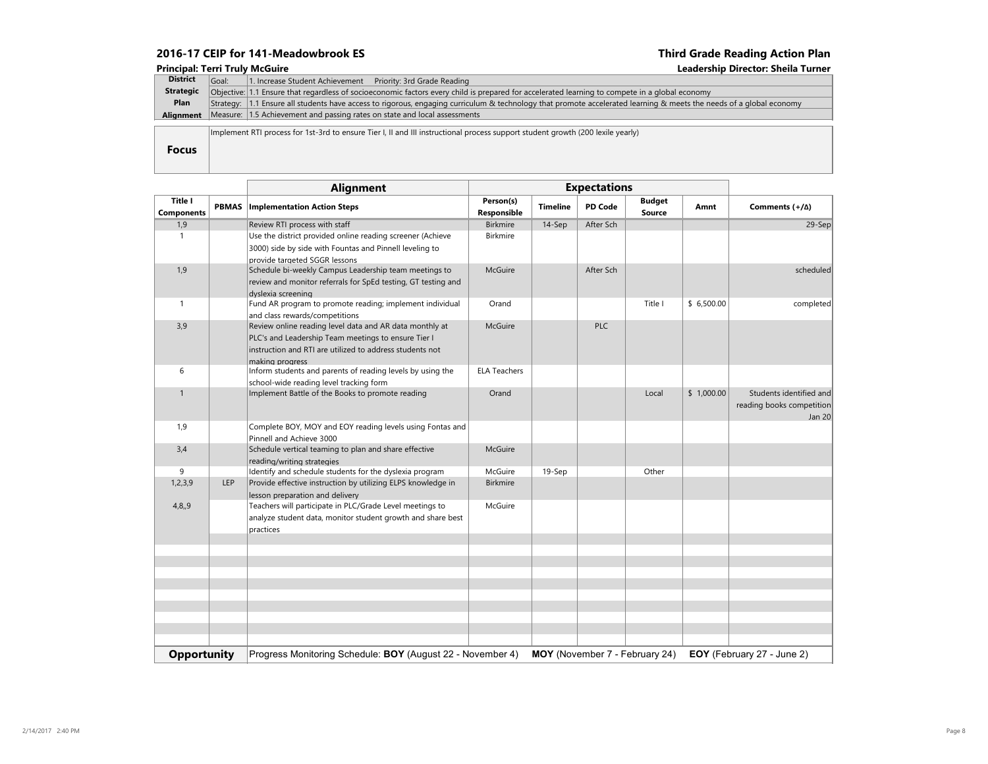#### **2016-17 CEIP for 141-Meadowbrook ES Third Grade Reading Action Plan**

**Principal: Terri Truly McGuire Leadership Director: Sheila Turner**

| <b>District</b>  | Goal: | 1. Increase Student Achievement Priority: 3rd Grade Reading                                                                                                         |
|------------------|-------|---------------------------------------------------------------------------------------------------------------------------------------------------------------------|
| <b>Strategic</b> |       | Objective: 1.1 Ensure that regardless of socioeconomic factors every child is prepared for accelerated learning to compete in a global economy                      |
| <b>Plan</b>      |       | Strategy: 1.1 Ensure all students have access to rigorous, engaging curriculum & technology that promote accelerated learning & meets the needs of a global economy |
|                  |       | <b>Alignment</b> Measure: 1.5 Achievement and passing rates on state and local assessments                                                                          |
|                  |       |                                                                                                                                                                     |

Implement RTI process for 1st-3rd to ensure Tier I, II and III instructional process support student growth (200 lexile yearly)

**Focus**

|                              |              | <b>Alignment</b>                                              | <b>Expectations</b>      |                                |           |                         |                            |                           |
|------------------------------|--------------|---------------------------------------------------------------|--------------------------|--------------------------------|-----------|-------------------------|----------------------------|---------------------------|
| Title I<br><b>Components</b> | <b>PBMAS</b> | <b>Implementation Action Steps</b>                            | Person(s)<br>Responsible | <b>Timeline</b>                | PD Code   | <b>Budget</b><br>Source | Amnt                       | Comments $(+/\Delta)$     |
| 1,9                          |              | Review RTI process with staff                                 | <b>Birkmire</b>          | 14-Sep                         | After Sch |                         |                            | 29-Sep                    |
| $\mathbf{1}$                 |              | Use the district provided online reading screener (Achieve    | <b>Birkmire</b>          |                                |           |                         |                            |                           |
|                              |              | 3000) side by side with Fountas and Pinnell leveling to       |                          |                                |           |                         |                            |                           |
|                              |              | provide targeted SGGR lessons                                 |                          |                                |           |                         |                            |                           |
| 1,9                          |              | Schedule bi-weekly Campus Leadership team meetings to         | McGuire                  |                                | After Sch |                         |                            | scheduled                 |
|                              |              | review and monitor referrals for SpEd testing, GT testing and |                          |                                |           |                         |                            |                           |
|                              |              | dyslexia screening                                            |                          |                                |           |                         |                            |                           |
| $\mathbf{1}$                 |              | Fund AR program to promote reading; implement individual      | Orand                    |                                |           | Title I                 | \$6,500.00                 | completed                 |
|                              |              | and class rewards/competitions                                |                          |                                |           |                         |                            |                           |
| 3,9                          |              | Review online reading level data and AR data monthly at       | McGuire                  |                                | PLC       |                         |                            |                           |
|                              |              | PLC's and Leadership Team meetings to ensure Tier I           |                          |                                |           |                         |                            |                           |
|                              |              | instruction and RTI are utilized to address students not      |                          |                                |           |                         |                            |                           |
|                              |              | making progress                                               |                          |                                |           |                         |                            |                           |
| 6                            |              | Inform students and parents of reading levels by using the    | <b>ELA Teachers</b>      |                                |           |                         |                            |                           |
|                              |              | school-wide reading level tracking form                       |                          |                                |           |                         |                            |                           |
| $\mathbf{1}$                 |              | Implement Battle of the Books to promote reading              | Orand                    |                                |           | Local                   | \$1,000.00                 | Students identified and   |
|                              |              |                                                               |                          |                                |           |                         |                            | reading books competition |
|                              |              |                                                               |                          |                                |           |                         |                            | Jan 20                    |
| 1,9                          |              | Complete BOY, MOY and EOY reading levels using Fontas and     |                          |                                |           |                         |                            |                           |
|                              |              | Pinnell and Achieve 3000                                      |                          |                                |           |                         |                            |                           |
| 3,4                          |              | Schedule vertical teaming to plan and share effective         | McGuire                  |                                |           |                         |                            |                           |
|                              |              | reading/writing strategies                                    |                          |                                |           |                         |                            |                           |
| 9                            |              | Identify and schedule students for the dyslexia program       | McGuire                  | 19-Sep                         |           | Other                   |                            |                           |
| 1,2,3,9                      | LEP          | Provide effective instruction by utilizing ELPS knowledge in  | <b>Birkmire</b>          |                                |           |                         |                            |                           |
|                              |              | lesson preparation and delivery                               |                          |                                |           |                         |                            |                           |
| 4,8,9                        |              | Teachers will participate in PLC/Grade Level meetings to      | McGuire                  |                                |           |                         |                            |                           |
|                              |              | analyze student data, monitor student growth and share best   |                          |                                |           |                         |                            |                           |
|                              |              | practices                                                     |                          |                                |           |                         |                            |                           |
|                              |              |                                                               |                          |                                |           |                         |                            |                           |
|                              |              |                                                               |                          |                                |           |                         |                            |                           |
|                              |              |                                                               |                          |                                |           |                         |                            |                           |
|                              |              |                                                               |                          |                                |           |                         |                            |                           |
|                              |              |                                                               |                          |                                |           |                         |                            |                           |
|                              |              |                                                               |                          |                                |           |                         |                            |                           |
|                              |              |                                                               |                          |                                |           |                         |                            |                           |
|                              |              |                                                               |                          |                                |           |                         |                            |                           |
|                              |              |                                                               |                          |                                |           |                         |                            |                           |
|                              |              |                                                               |                          |                                |           |                         |                            |                           |
| <b>Opportunity</b>           |              | Progress Monitoring Schedule: BOY (August 22 - November 4)    |                          | MOY (November 7 - February 24) |           |                         | EOY (February 27 - June 2) |                           |